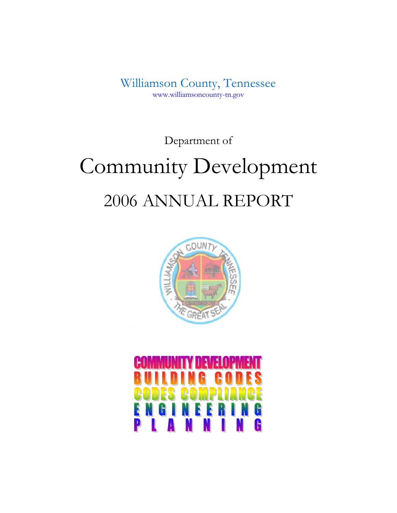Williamson County, Tennessee www.williamsoncounty-tn.gov

Department of

# Community Development 2006 ANNUAL REPORT



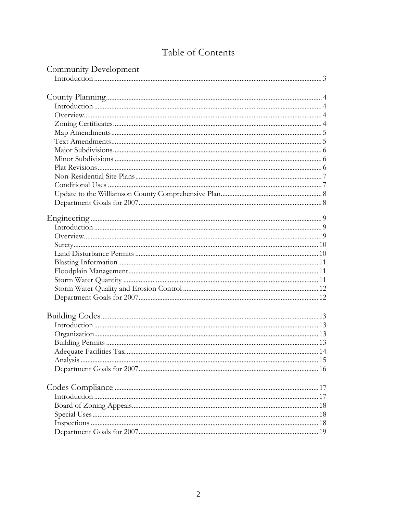# Table of Contents

| Community Development |  |
|-----------------------|--|
|                       |  |
|                       |  |
|                       |  |
|                       |  |
|                       |  |
|                       |  |
|                       |  |
|                       |  |
|                       |  |
|                       |  |
|                       |  |
|                       |  |
|                       |  |
|                       |  |
|                       |  |
|                       |  |
|                       |  |
|                       |  |
|                       |  |
|                       |  |
|                       |  |
|                       |  |
|                       |  |
|                       |  |
|                       |  |
|                       |  |
|                       |  |
|                       |  |
|                       |  |
|                       |  |
|                       |  |
|                       |  |
|                       |  |
|                       |  |
|                       |  |
|                       |  |
|                       |  |
|                       |  |
|                       |  |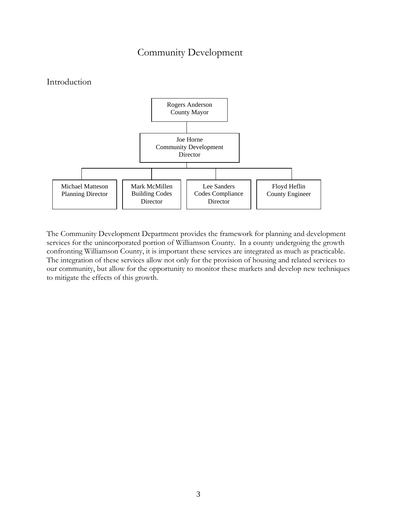# Community Development

# Introduction



The Community Development Department provides the framework for planning and development services for the unincorporated portion of Williamson County. In a county undergoing the growth confronting Williamson County, it is important these services are integrated as much as practicable. The integration of these services allow not only for the provision of housing and related services to our community, but allow for the opportunity to monitor these markets and develop new techniques to mitigate the effects of this growth.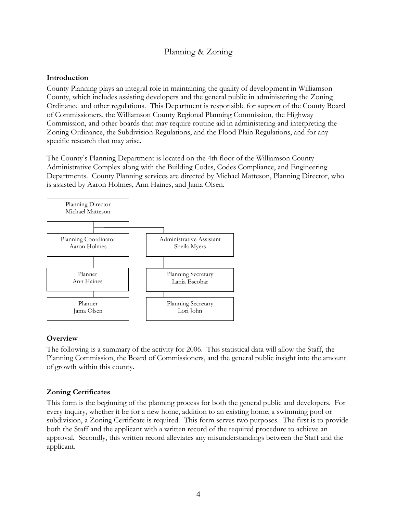# Planning & Zoning

#### **Introduction**

County Planning plays an integral role in maintaining the quality of development in Williamson County, which includes assisting developers and the general public in administering the Zoning Ordinance and other regulations. This Department is responsible for support of the County Board of Commissioners, the Williamson County Regional Planning Commission, the Highway Commission, and other boards that may require routine aid in administering and interpreting the Zoning Ordinance, the Subdivision Regulations, and the Flood Plain Regulations, and for any specific research that may arise.

The County's Planning Department is located on the 4th floor of the Williamson County Administrative Complex along with the Building Codes, Codes Compliance, and Engineering Departments. County Planning services are directed by Michael Matteson, Planning Director, who is assisted by Aaron Holmes, Ann Haines, and Jama Olsen.



# **Overview**

The following is a summary of the activity for 2006. This statistical data will allow the Staff, the Planning Commission, the Board of Commissioners, and the general public insight into the amount of growth within this county.

# **Zoning Certificates**

This form is the beginning of the planning process for both the general public and developers. For every inquiry, whether it be for a new home, addition to an existing home, a swimming pool or subdivision, a Zoning Certificate is required. This form serves two purposes. The first is to provide both the Staff and the applicant with a written record of the required procedure to achieve an approval. Secondly, this written record alleviates any misunderstandings between the Staff and the applicant.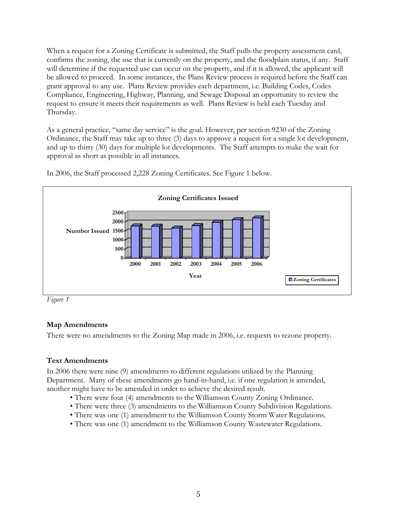When a request for a Zoning Certificate is submitted, the Staff pulls the property assessment card, confirms the zoning, the use that is currently on the property, and the floodplain status, if any. Staff will determine if the requested use can occur on the property, and if it is allowed, the applicant will be allowed to proceed. In some instances, the Plans Review process is required before the Staff can grant approval to any use. Plans Review provides each department, i.e. Building Codes, Codes Compliance, Engineering, Highway, Planning, and Sewage Disposal an opportunity to review the request to ensure it meets their requirements as well. Plans Review is held each Tuesday and Thursday.

As a general practice, "same day service" is the goal. However, per section 9230 of the Zoning Ordinance, the Staff may take up to three (3) days to approve a request for a single lot development, and up to thirty (30) days for multiple lot developments. The Staff attempts to make the wait for approval as short as possible in all instances.



In 2006, the Staff processed 2,228 Zoning Certificates. See Figure 1 below.

*Figure 1* 

# **Map Amendments**

There were no amendments to the Zoning Map made in 2006, i.e. requests to rezone property.

# **Text Amendments**

In 2006 there were nine (9) amendments to different regulations utilized by the Planning Department. Many of these amendments go hand-in-hand, i.e. if one regulation is amended, another might have to be amended in order to achieve the desired result.

- There were four (4) amendments to the Williamson County Zoning Ordinance.
- There were three (3) amendments to the Williamson County Subdivision Regulations.
- There was one (1) amendment to the Williamson County Storm Water Regulations.
- There was one (1) amendment to the Williamson County Wastewater Regulations.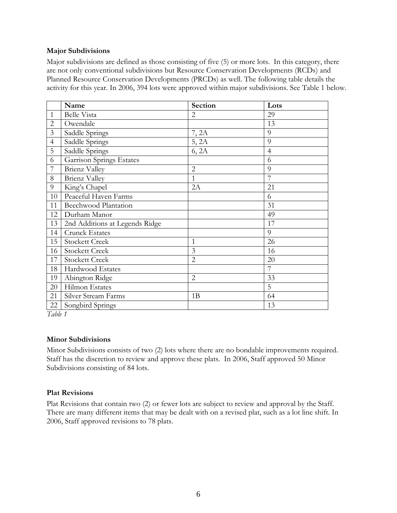#### **Major Subdivisions**

Major subdivisions are defined as those consisting of five (5) or more lots. In this category, there are not only conventional subdivisions but Resource Conservation Developments (RCDs) and Planned Resource Conservation Developments (PRCDs) as well. The following table details the activity for this year. In 2006, 394 lots were approved within major subdivisions. See Table 1 below.

|                | Name                            | <b>Section</b> | Lots           |
|----------------|---------------------------------|----------------|----------------|
| $\mathbf{1}$   | <b>Belle Vista</b>              | 2              | 29             |
| $\overline{2}$ | Owendale                        |                | 13             |
| 3              | Saddle Springs                  | 7, 2A          | 9              |
| $\overline{4}$ | Saddle Springs                  | 5, 2A          | 9              |
| 5              | Saddle Springs                  | 6, 2A          | $\overline{4}$ |
| 6              | <b>Garrison Springs Estates</b> |                | 6              |
| $\overline{7}$ | <b>Brienz Valley</b>            | $\overline{2}$ | 9              |
| 8              | <b>Brienz Valley</b>            | $\mathbf{1}$   | 7              |
| 9              | King's Chapel                   | 2A             | 21             |
| 10             | Peaceful Haven Farms            |                | 6              |
| 11             | <b>Beechwood Plantation</b>     |                | 31             |
| 12             | Durham Manor                    |                | 49             |
| 13             | 2nd Additions at Legends Ridge  |                | 17             |
| 14             | Crunck Estates                  |                | 9              |
| 15             | <b>Stockett Creek</b>           | 1              | 26             |
| 16             | <b>Stockett Creek</b>           | 3              | 16             |
| 17             | <b>Stockett Creek</b>           | $\overline{2}$ | 20             |
| 18             | Hardwood Estates                |                | $\overline{7}$ |
| 19             | Abington Ridge                  | $\overline{2}$ | 33             |
| 20             | Hilmon Estates                  |                | 5              |
| 21             | Silver Stream Farms             | 1B             | 64             |
| 22             | Songbird Springs                |                | 13             |

*Table 1* 

#### **Minor Subdivisions**

Minor Subdivisions consists of two (2) lots where there are no bondable improvements required. Staff has the discretion to review and approve these plats. In 2006, Staff approved 50 Minor Subdivisions consisting of 84 lots.

#### **Plat Revisions**

Plat Revisions that contain two (2) or fewer lots are subject to review and approval by the Staff. There are many different items that may be dealt with on a revised plat, such as a lot line shift. In 2006, Staff approved revisions to 78 plats.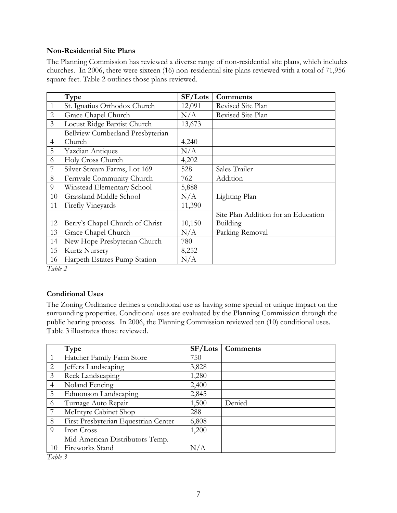#### **Non-Residential Site Plans**

The Planning Commission has reviewed a diverse range of non-residential site plans, which includes churches. In 2006, there were sixteen (16) non-residential site plans reviewed with a total of 71,956 square feet. Table 2 outlines those plans reviewed.

|                | Type                             | SF/Lots | <b>Comments</b>                     |
|----------------|----------------------------------|---------|-------------------------------------|
| $\mathbf{1}$   | St. Ignatius Orthodox Church     | 12,091  | Revised Site Plan                   |
| $\overline{2}$ | Grace Chapel Church              | N/A     | Revised Site Plan                   |
| 3              | Locust Ridge Baptist Church      | 13,673  |                                     |
|                | Bellview Cumberland Presbyterian |         |                                     |
| 4              | Church                           | 4,240   |                                     |
| 5              | <b>Yazdian Antiques</b>          | N/A     |                                     |
| 6              | Holy Cross Church                | 4,202   |                                     |
|                | Silver Stream Farms, Lot 169     | 528     | Sales Trailer                       |
| 8              | Fernvale Community Church        | 762     | Addition                            |
| 9              | Winstead Elementary School       | 5,888   |                                     |
| 10             | Grassland Middle School          | N/A     | Lighting Plan                       |
| 11             | Firefly Vineyards                | 11,390  |                                     |
|                |                                  |         | Site Plan Addition for an Education |
| 12             | Berry's Chapel Church of Christ  | 10,150  | Building                            |
| 13             | Grace Chapel Church              | N/A     | Parking Removal                     |
| 14             | New Hope Presbyterian Church     | 780     |                                     |
| 15             | Kurtz Nursery                    | 8,252   |                                     |
| 16             | Harpeth Estates Pump Station     | N/A     |                                     |

*Table 2* 

# **Conditional Uses**

The Zoning Ordinance defines a conditional use as having some special or unique impact on the surrounding properties. Conditional uses are evaluated by the Planning Commission through the public hearing process. In 2006, the Planning Commission reviewed ten (10) conditional uses. Table 3 illustrates those reviewed.

|                | Type                                 | SF/Lots | Comments |
|----------------|--------------------------------------|---------|----------|
|                | Hatcher Family Farm Store            | 750     |          |
| 2              | Jeffers Landscaping                  | 3,828   |          |
| 3              | Reek Landscaping                     | 1,280   |          |
| $\overline{4}$ | Noland Fencing                       | 2,400   |          |
| 5              | Edmonson Landscaping                 | 2,845   |          |
| 6              | Turnage Auto Repair                  | 1,500   | Denied   |
|                | McIntyre Cabinet Shop                | 288     |          |
| 8              | First Presbyterian Equestrian Center | 6,808   |          |
| 9              | Iron Cross                           | 1,200   |          |
|                | Mid-American Distributors Temp.      |         |          |
| 10             | Fireworks Stand                      | N/A     |          |

*Table 3*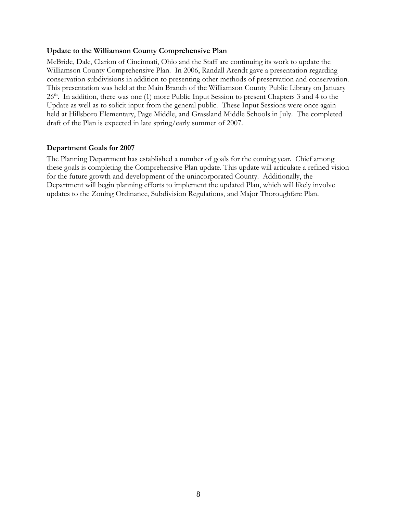#### **Update to the Williamson County Comprehensive Plan**

McBride, Dale, Clarion of Cincinnati, Ohio and the Staff are continuing its work to update the Williamson County Comprehensive Plan. In 2006, Randall Arendt gave a presentation regarding conservation subdivisions in addition to presenting other methods of preservation and conservation. This presentation was held at the Main Branch of the Williamson County Public Library on January  $26<sup>th</sup>$ . In addition, there was one (1) more Public Input Session to present Chapters 3 and 4 to the Update as well as to solicit input from the general public. These Input Sessions were once again held at Hillsboro Elementary, Page Middle, and Grassland Middle Schools in July. The completed draft of the Plan is expected in late spring/early summer of 2007.

#### **Department Goals for 2007**

The Planning Department has established a number of goals for the coming year. Chief among these goals is completing the Comprehensive Plan update. This update will articulate a refined vision for the future growth and development of the unincorporated County. Additionally, the Department will begin planning efforts to implement the updated Plan, which will likely involve updates to the Zoning Ordinance, Subdivision Regulations, and Major Thoroughfare Plan.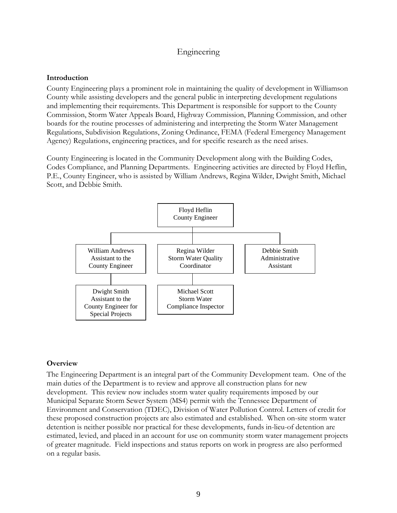# Engineering

#### **Introduction**

County Engineering plays a prominent role in maintaining the quality of development in Williamson County while assisting developers and the general public in interpreting development regulations and implementing their requirements. This Department is responsible for support to the County Commission, Storm Water Appeals Board, Highway Commission, Planning Commission, and other boards for the routine processes of administering and interpreting the Storm Water Management Regulations, Subdivision Regulations, Zoning Ordinance, FEMA (Federal Emergency Management Agency) Regulations, engineering practices, and for specific research as the need arises.

County Engineering is located in the Community Development along with the Building Codes, Codes Compliance, and Planning Departments. Engineering activities are directed by Floyd Heflin, P.E., County Engineer, who is assisted by William Andrews, Regina Wilder, Dwight Smith, Michael Scott, and Debbie Smith.



#### **Overview**

The Engineering Department is an integral part of the Community Development team. One of the main duties of the Department is to review and approve all construction plans for new development. This review now includes storm water quality requirements imposed by our Municipal Separate Storm Sewer System (MS4) permit with the Tennessee Department of Environment and Conservation (TDEC), Division of Water Pollution Control. Letters of credit for these proposed construction projects are also estimated and established. When on-site storm water detention is neither possible nor practical for these developments, funds in-lieu-of detention are estimated, levied, and placed in an account for use on community storm water management projects of greater magnitude. Field inspections and status reports on work in progress are also performed on a regular basis.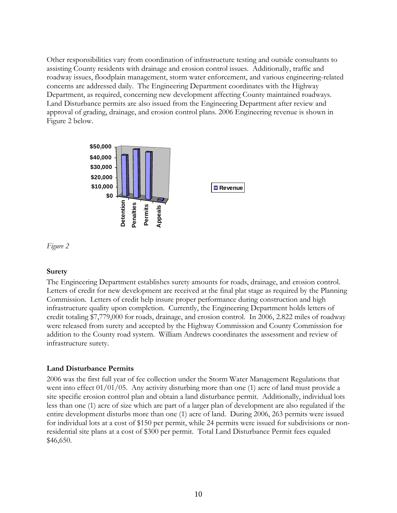Other responsibilities vary from coordination of infrastructure testing and outside consultants to assisting County residents with drainage and erosion control issues. Additionally, traffic and roadway issues, floodplain management, storm water enforcement, and various engineering-related concerns are addressed daily. The Engineering Department coordinates with the Highway Department, as required, concerning new development affecting County maintained roadways. Land Disturbance permits are also issued from the Engineering Department after review and approval of grading, drainage, and erosion control plans. 2006 Engineering revenue is shown in Figure 2 below.





#### **Surety**

The Engineering Department establishes surety amounts for roads, drainage, and erosion control. Letters of credit for new development are received at the final plat stage as required by the Planning Commission. Letters of credit help insure proper performance during construction and high infrastructure quality upon completion. Currently, the Engineering Department holds letters of credit totaling \$7,779,000 for roads, drainage, and erosion control. In 2006, 2.822 miles of roadway were released from surety and accepted by the Highway Commission and County Commission for addition to the County road system. William Andrews coordinates the assessment and review of infrastructure surety.

#### **Land Disturbance Permits**

2006 was the first full year of fee collection under the Storm Water Management Regulations that went into effect 01/01/05. Any activity disturbing more than one (1) acre of land must provide a site specific erosion control plan and obtain a land disturbance permit. Additionally, individual lots less than one (1) acre of size which are part of a larger plan of development are also regulated if the entire development disturbs more than one (1) acre of land. During 2006, 263 permits were issued for individual lots at a cost of \$150 per permit, while 24 permits were issued for subdivisions or nonresidential site plans at a cost of \$300 per permit. Total Land Disturbance Permit fees equaled \$46,650.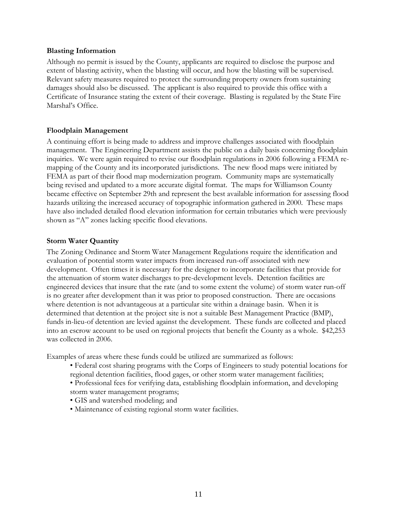#### **Blasting Information**

Although no permit is issued by the County, applicants are required to disclose the purpose and extent of blasting activity, when the blasting will occur, and how the blasting will be supervised. Relevant safety measures required to protect the surrounding property owners from sustaining damages should also be discussed. The applicant is also required to provide this office with a Certificate of Insurance stating the extent of their coverage. Blasting is regulated by the State Fire Marshal's Office.

#### **Floodplain Management**

A continuing effort is being made to address and improve challenges associated with floodplain management. The Engineering Department assists the public on a daily basis concerning floodplain inquiries. We were again required to revise our floodplain regulations in 2006 following a FEMA remapping of the County and its incorporated jurisdictions. The new flood maps were initiated by FEMA as part of their flood map modernization program. Community maps are systematically being revised and updated to a more accurate digital format. The maps for Williamson County became effective on September 29th and represent the best available information for assessing flood hazards utilizing the increased accuracy of topographic information gathered in 2000. These maps have also included detailed flood elevation information for certain tributaries which were previously shown as "A" zones lacking specific flood elevations.

#### **Storm Water Quantity**

The Zoning Ordinance and Storm Water Management Regulations require the identification and evaluation of potential storm water impacts from increased run-off associated with new development. Often times it is necessary for the designer to incorporate facilities that provide for the attenuation of storm water discharges to pre-development levels. Detention facilities are engineered devices that insure that the rate (and to some extent the volume) of storm water run-off is no greater after development than it was prior to proposed construction. There are occasions where detention is not advantageous at a particular site within a drainage basin. When it is determined that detention at the project site is not a suitable Best Management Practice (BMP), funds in-lieu-of detention are levied against the development. These funds are collected and placed into an escrow account to be used on regional projects that benefit the County as a whole. \$42,253 was collected in 2006.

Examples of areas where these funds could be utilized are summarized as follows:

- Federal cost sharing programs with the Corps of Engineers to study potential locations for regional detention facilities, flood gages, or other storm water management facilities;
- Professional fees for verifying data, establishing floodplain information, and developing storm water management programs;
- GIS and watershed modeling; and
- Maintenance of existing regional storm water facilities.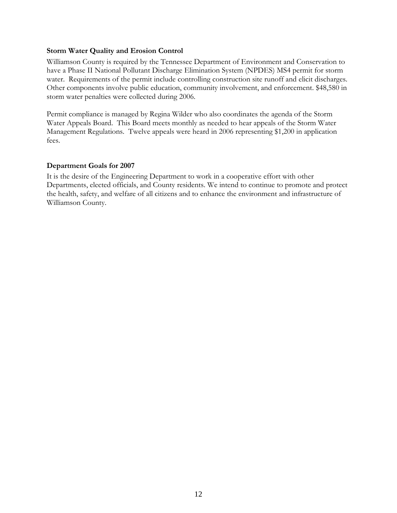#### **Storm Water Quality and Erosion Control**

Williamson County is required by the Tennessee Department of Environment and Conservation to have a Phase II National Pollutant Discharge Elimination System (NPDES) MS4 permit for storm water. Requirements of the permit include controlling construction site runoff and elicit discharges. Other components involve public education, community involvement, and enforcement. \$48,580 in storm water penalties were collected during 2006.

Permit compliance is managed by Regina Wilder who also coordinates the agenda of the Storm Water Appeals Board. This Board meets monthly as needed to hear appeals of the Storm Water Management Regulations. Twelve appeals were heard in 2006 representing \$1,200 in application fees.

#### **Department Goals for 2007**

It is the desire of the Engineering Department to work in a cooperative effort with other Departments, elected officials, and County residents. We intend to continue to promote and protect the health, safety, and welfare of all citizens and to enhance the environment and infrastructure of Williamson County.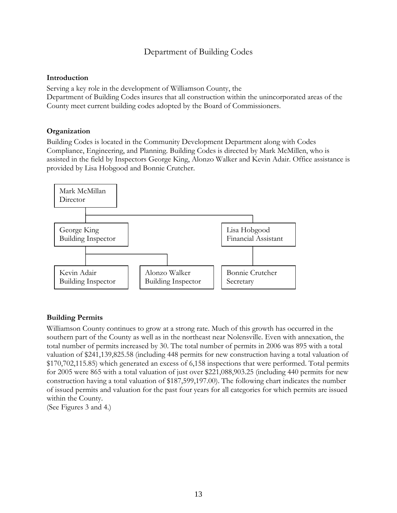# Department of Building Codes

#### **Introduction**

Serving a key role in the development of Williamson County, the Department of Building Codes insures that all construction within the unincorporated areas of the County meet current building codes adopted by the Board of Commissioners.

#### **Organization**

Building Codes is located in the Community Development Department along with Codes Compliance, Engineering, and Planning. Building Codes is directed by Mark McMillen, who is assisted in the field by Inspectors George King, Alonzo Walker and Kevin Adair. Office assistance is provided by Lisa Hobgood and Bonnie Crutcher.



#### **Building Permits**

Williamson County continues to grow at a strong rate. Much of this growth has occurred in the southern part of the County as well as in the northeast near Nolensville. Even with annexation, the total number of permits increased by 30. The total number of permits in 2006 was 895 with a total valuation of \$241,139,825.58 (including 448 permits for new construction having a total valuation of \$170,702,115.85) which generated an excess of 6,158 inspections that were performed. Total permits for 2005 were 865 with a total valuation of just over \$221,088,903.25 (including 440 permits for new construction having a total valuation of \$187,599,197.00). The following chart indicates the number of issued permits and valuation for the past four years for all categories for which permits are issued within the County.

(See Figures 3 and 4.)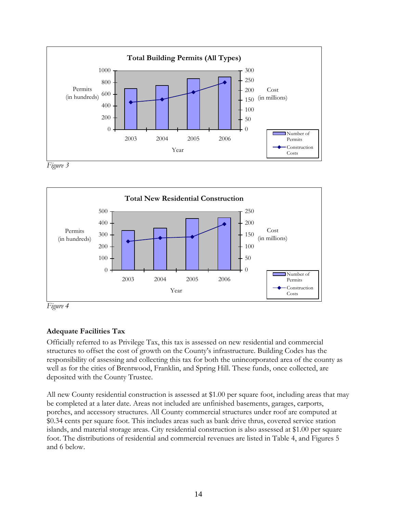

*Figure 3* 



*Figure 4* 

# **Adequate Facilities Tax**

Officially referred to as Privilege Tax, this tax is assessed on new residential and commercial structures to offset the cost of growth on the County's infrastructure. Building Codes has the responsibility of assessing and collecting this tax for both the unincorporated area of the county as well as for the cities of Brentwood, Franklin, and Spring Hill. These funds, once collected, are deposited with the County Trustee.

All new County residential construction is assessed at \$1.00 per square foot, including areas that may be completed at a later date. Areas not included are unfinished basements, garages, carports, porches, and accessory structures. All County commercial structures under roof are computed at \$0.34 cents per square foot. This includes areas such as bank drive thrus, covered service station islands, and material storage areas. City residential construction is also assessed at \$1.00 per square foot. The distributions of residential and commercial revenues are listed in Table 4, and Figures 5 and 6 below.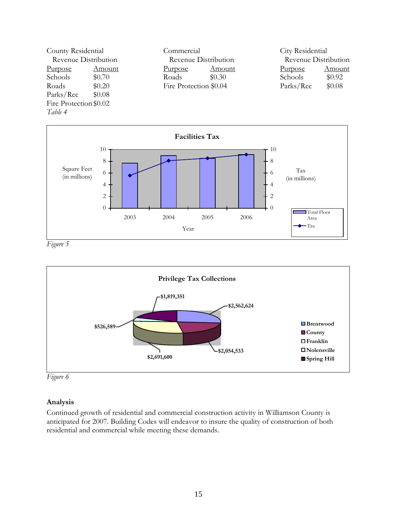



*Figure 5* 



*Figure 6* 

# **Analysis**

Continued growth of residential and commercial construction activity in Williamson County is anticipated for 2007. Building Codes will endeavor to insure the quality of construction of both residential and commercial while meeting these demands.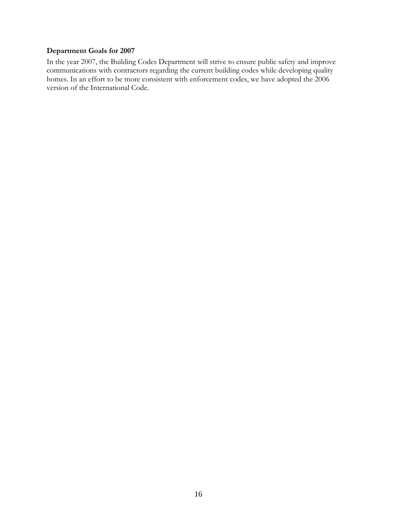### **Department Goals for 2007**

In the year 2007, the Building Codes Department will strive to ensure public safety and improve communications with contractors regarding the current building codes while developing quality homes. In an effort to be more consistent with enforcement codes, we have adopted the 2006 version of the International Code.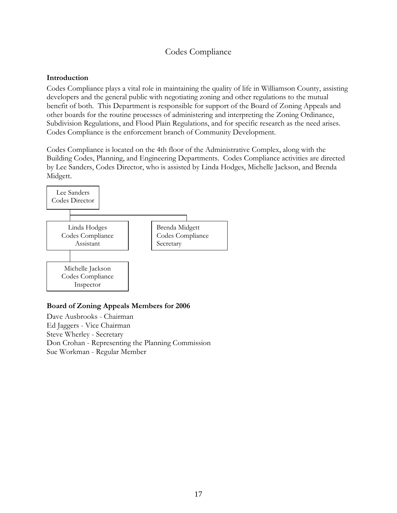# Codes Compliance

#### **Introduction**

Codes Compliance plays a vital role in maintaining the quality of life in Williamson County, assisting developers and the general public with negotiating zoning and other regulations to the mutual benefit of both. This Department is responsible for support of the Board of Zoning Appeals and other boards for the routine processes of administering and interpreting the Zoning Ordinance, Subdivision Regulations, and Flood Plain Regulations, and for specific research as the need arises. Codes Compliance is the enforcement branch of Community Development.

Codes Compliance is located on the 4th floor of the Administrative Complex, along with the Building Codes, Planning, and Engineering Departments. Codes Compliance activities are directed by Lee Sanders, Codes Director, who is assisted by Linda Hodges, Michelle Jackson, and Brenda Midgett.



# **Board of Zoning Appeals Members for 2006**

Dave Ausbrooks - Chairman Ed Jaggers - Vice Chairman Steve Wherley - Secretary Don Crohan - Representing the Planning Commission Sue Workman - Regular Member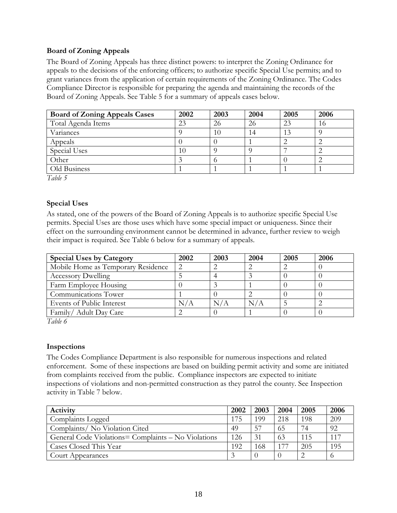#### **Board of Zoning Appeals**

The Board of Zoning Appeals has three distinct powers: to interpret the Zoning Ordinance for appeals to the decisions of the enforcing officers; to authorize specific Special Use permits; and to grant variances from the application of certain requirements of the Zoning Ordinance. The Codes Compliance Director is responsible for preparing the agenda and maintaining the records of the Board of Zoning Appeals. See Table 5 for a summary of appeals cases below.

| <b>Board of Zoning Appeals Cases</b> | 2002 | 2003 | 2004 | 2005 | 2006 |
|--------------------------------------|------|------|------|------|------|
| Total Agenda Items                   | 23   | 26   | 26   | 23   | 16   |
| Variances                            |      | 10   | 14   | 13   |      |
| Appeals                              |      |      |      |      |      |
| Special Uses                         | I () |      |      |      |      |
| Other                                |      |      |      |      |      |
| Old Business                         |      |      |      |      |      |

*Table 5* 

#### **Special Uses**

As stated, one of the powers of the Board of Zoning Appeals is to authorize specific Special Use permits. Special Uses are those uses which have some special impact or uniqueness. Since their effect on the surrounding environment cannot be determined in advance, further review to weigh their impact is required. See Table 6 below for a summary of appeals.

| <b>Special Uses by Category</b>    | 2002 | 2003 | 2004      | 2005 | 2006 |
|------------------------------------|------|------|-----------|------|------|
| Mobile Home as Temporary Residence | 2    |      |           |      |      |
| <b>Accessory Dwelling</b>          |      |      |           |      |      |
| Farm Employee Housing              |      |      |           |      |      |
| Communications Tower               |      |      |           |      |      |
| Events of Public Interest          |      |      | $\rm N/A$ |      |      |
| Family/ Adult Day Care             |      |      |           |      |      |

*Table 6* 

#### **Inspections**

The Codes Compliance Department is also responsible for numerous inspections and related enforcement. Some of these inspections are based on building permit activity and some are initiated from complaints received from the public. Compliance inspectors are expected to initiate inspections of violations and non-permitted construction as they patrol the county. See Inspection activity in Table 7 below.

| Activity                                            | 2002 | 2003 | 2004 | 2005 | 2006     |
|-----------------------------------------------------|------|------|------|------|----------|
| Complaints Logged                                   | 175  | 199  | 218  | 198  | 209      |
| Complaints/ No Violation Cited                      | 49   | 57   | 65   | 74   | 92       |
| General Code Violations= Complaints – No Violations | 126  | 31   | 63   | 115  | $11^{7}$ |
| Cases Closed This Year                              | 192  | 168  | 177  | 205  | 195      |
| Court Appearances                                   |      |      |      |      |          |